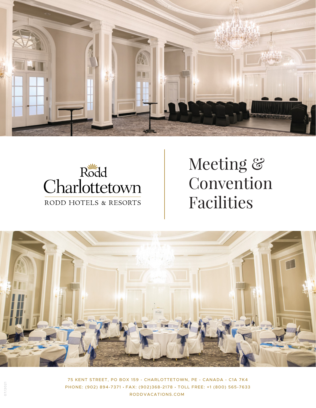



## Meeting & Convention Facilities



75 KENT STREET, PO BOX 159 - CHARLOTTETOWN, PE - CANADA - C1A 7K4 PHONE: (902) 894-7371 • FAX: (902)368-2178 • TOLL FREE: +1 (800) 565-7633 RODDVACATIONS.COM